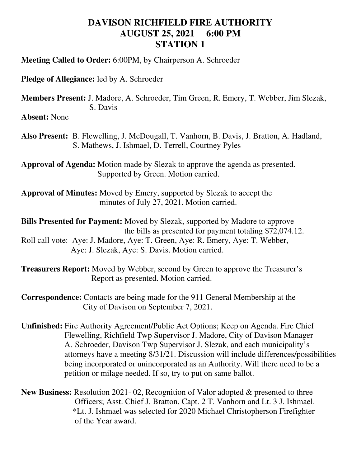## **DAVISON RICHFIELD FIRE AUTHORITY AUGUST 25, 2021 6:00 PM STATION 1**

**Meeting Called to Order:** 6:00PM, by Chairperson A. Schroeder

**Pledge of Allegiance:** led by A. Schroeder

**Members Present:** J. Madore, A. Schroeder, Tim Green, R. Emery, T. Webber, Jim Slezak, S. Davis

**Absent:** None

**Also Present:** B. Flewelling, J. McDougall, T. Vanhorn, B. Davis, J. Bratton, A. Hadland, S. Mathews, J. Ishmael, D. Terrell, Courtney Pyles

**Approval of Agenda:** Motion made by Slezak to approve the agenda as presented. Supported by Green. Motion carried.

**Approval of Minutes:** Moved by Emery, supported by Slezak to accept the minutes of July 27, 2021. Motion carried.

**Bills Presented for Payment:** Moved by Slezak, supported by Madore to approve the bills as presented for payment totaling \$72,074.12.

Roll call vote: Aye: J. Madore, Aye: T. Green, Aye: R. Emery, Aye: T. Webber, Aye: J. Slezak, Aye: S. Davis. Motion carried.

**Treasurers Report:** Moved by Webber, second by Green to approve the Treasurer's Report as presented. Motion carried.

**Correspondence:** Contacts are being made for the 911 General Membership at the City of Davison on September 7, 2021.

**Unfinished:** Fire Authority Agreement/Public Act Options; Keep on Agenda. Fire Chief Flewelling, Richfield Twp Supervisor J. Madore, City of Davison Manager A. Schroeder, Davison Twp Supervisor J. Slezak, and each municipality's attorneys have a meeting 8/31/21. Discussion will include differences/possibilities being incorporated or unincorporated as an Authority. Will there need to be a petition or milage needed. If so, try to put on same ballot.

**New Business:** Resolution 2021- 02, Recognition of Valor adopted & presented to three Officers; Asst. Chief J. Bratton, Capt. 2 T. Vanhorn and Lt. 3 J. Ishmael. \*Lt. J. Ishmael was selected for 2020 Michael Christopherson Firefighter of the Year award.